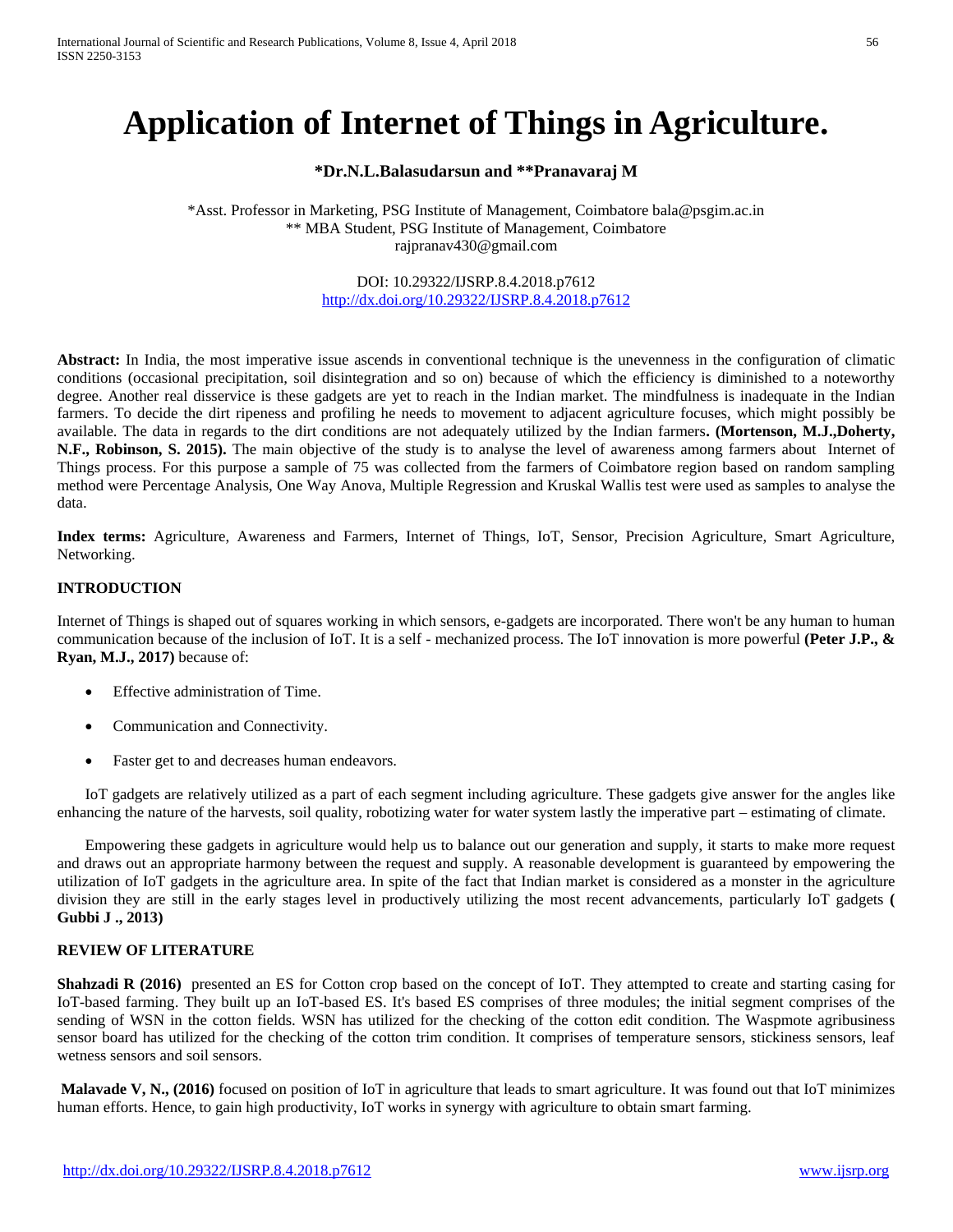# **Application of Internet of Things in Agriculture.**

# **\*Dr.N.L.Balasudarsun and \*\*Pranavaraj M**

\*Asst. Professor in Marketing, PSG Institute of Management, Coimbatore bala@psgim.ac.in \*\* MBA Student, PSG Institute of Management, Coimbatore [rajpranav430@gmail.com](mailto:rajpranav430@gmail.com)

#### DOI: 10.29322/IJSRP.8.4.2018.p7612 <http://dx.doi.org/10.29322/IJSRP.8.4.2018.p7612>

**Abstract:** In India, the most imperative issue ascends in conventional technique is the unevenness in the configuration of climatic conditions (occasional precipitation, soil disintegration and so on) because of which the efficiency is diminished to a noteworthy degree. Another real disservice is these gadgets are yet to reach in the Indian market. The mindfulness is inadequate in the Indian farmers. To decide the dirt ripeness and profiling he needs to movement to adjacent agriculture focuses, which might possibly be available. The data in regards to the dirt conditions are not adequately utilized by the Indian farmers**. (Mortenson, M.J.,Doherty, N.F., Robinson, S. 2015).** The main objective of the study is to analyse the level of awareness among farmers about Internet of Things process. For this purpose a sample of 75 was collected from the farmers of Coimbatore region based on random sampling method were Percentage Analysis, One Way Anova, Multiple Regression and Kruskal Wallis test were used as samples to analyse the data.

**Index terms:** Agriculture, Awareness and Farmers, Internet of Things, IoT, Sensor, Precision Agriculture, Smart Agriculture, Networking.

#### **INTRODUCTION**

Internet of Things is shaped out of squares working in which sensors, e-gadgets are incorporated. There won't be any human to human communication because of the inclusion of IoT. It is a self - mechanized process. The IoT innovation is more powerful **(Peter J.P., & Ryan, M.J., 2017)** because of:

- Effective administration of Time.
- Communication and Connectivity.
- Faster get to and decreases human endeavors.

IoT gadgets are relatively utilized as a part of each segment including agriculture. These gadgets give answer for the angles like enhancing the nature of the harvests, soil quality, robotizing water for water system lastly the imperative part – estimating of climate.

Empowering these gadgets in agriculture would help us to balance out our generation and supply, it starts to make more request and draws out an appropriate harmony between the request and supply. A reasonable development is guaranteed by empowering the utilization of IoT gadgets in the agriculture area. In spite of the fact that Indian market is considered as a monster in the agriculture division they are still in the early stages level in productively utilizing the most recent advancements, particularly IoT gadgets **( Gubbi J ., 2013)**

# **REVIEW OF LITERATURE**

**Shahzadi R (2016)** presented an ES for Cotton crop based on the concept of IoT. They attempted to create and starting casing for IoT-based farming. They built up an IoT-based ES. It's based ES comprises of three modules; the initial segment comprises of the sending of WSN in the cotton fields. WSN has utilized for the checking of the cotton edit condition. The Waspmote agribusiness sensor board has utilized for the checking of the cotton trim condition. It comprises of temperature sensors, stickiness sensors, leaf wetness sensors and soil sensors.

**Malavade V, N., (2016)** focused on position of IoT in agriculture that leads to smart agriculture. It was found out that IoT minimizes human efforts. Hence, to gain high productivity, IoT works in synergy with agriculture to obtain smart farming.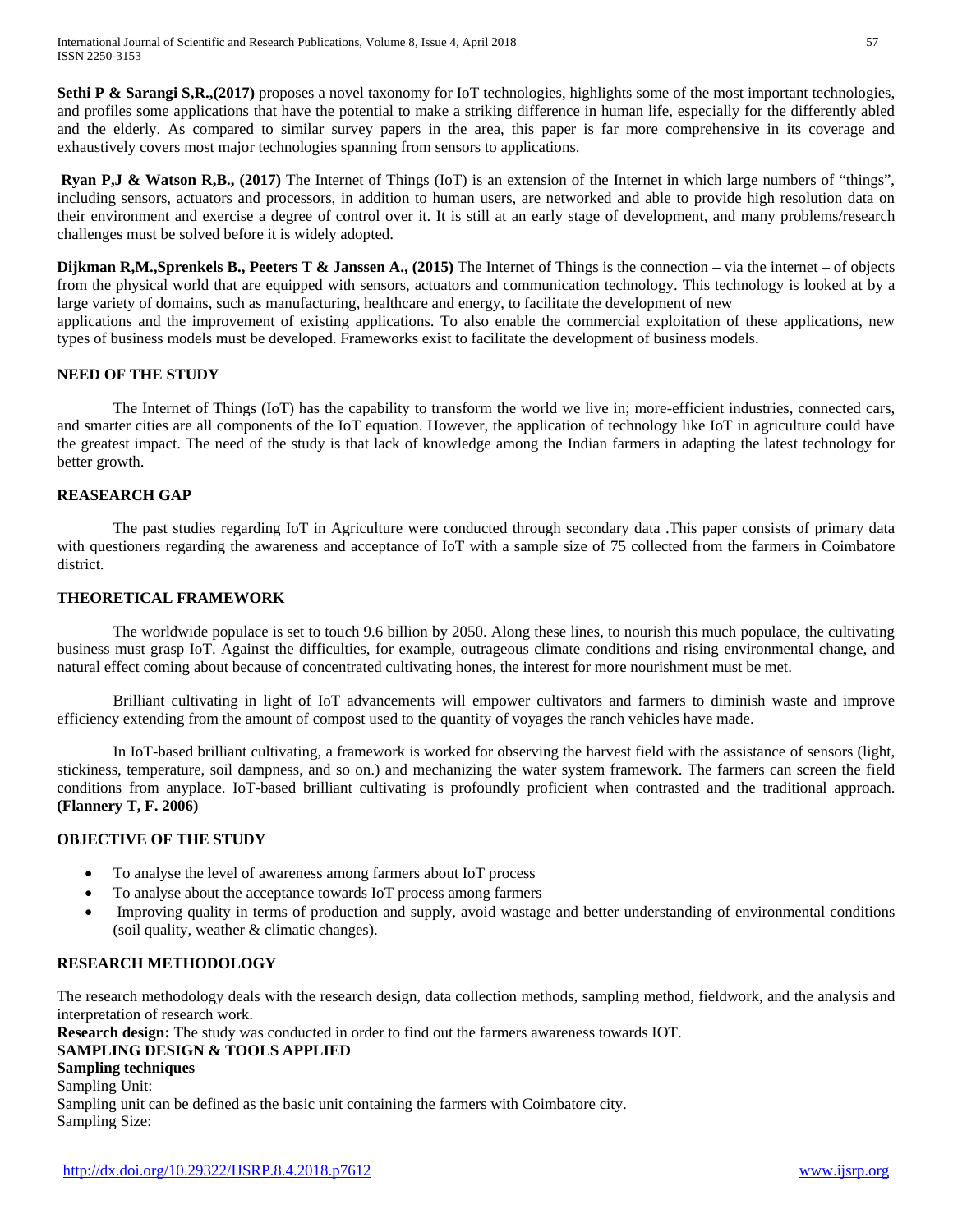International Journal of Scientific and Research Publications, Volume 8, Issue 4, April 2018 57 ISSN 2250-3153

**Sethi P & Sarangi S,R.,(2017)** proposes a novel taxonomy for IoT technologies, highlights some of the most important technologies, and profiles some applications that have the potential to make a striking difference in human life, especially for the differently abled and the elderly. As compared to similar survey papers in the area, this paper is far more comprehensive in its coverage and exhaustively covers most major technologies spanning from sensors to applications.

**Ryan P,J & Watson R,B., (2017)** The Internet of Things (IoT) is an extension of the Internet in which large numbers of "things", including sensors, actuators and processors, in addition to human users, are networked and able to provide high resolution data on their environment and exercise a degree of control over it. It is still at an early stage of development, and many problems/research challenges must be solved before it is widely adopted.

**Dijkman R,M.,Sprenkels B., Peeters T & Janssen A., (2015)** The Internet of Things is the connection – via the internet – of objects from the physical world that are equipped with sensors, actuators and communication technology. This technology is looked at by a large variety of domains, such as manufacturing, healthcare and energy, to facilitate the development of new

applications and the improvement of existing applications. To also enable the commercial exploitation of these applications, new types of business models must be developed. Frameworks exist to facilitate the development of business models.

#### **NEED OF THE STUDY**

The Internet of Things (IoT) has the capability to transform the world we live in; more-efficient industries, connected cars, and smarter cities are all components of the IoT equation. However, the application of technology like IoT in agriculture could have the greatest impact. The need of the study is that lack of knowledge among the Indian farmers in adapting the latest technology for better growth.

#### **REASEARCH GAP**

The past studies regarding IoT in Agriculture were conducted through secondary data .This paper consists of primary data with questioners regarding the awareness and acceptance of IoT with a sample size of 75 collected from the farmers in Coimbatore district.

# **THEORETICAL FRAMEWORK**

The worldwide populace is set to touch 9.6 billion by 2050. Along these lines, to nourish this much populace, the cultivating business must grasp IoT. Against the difficulties, for example, outrageous climate conditions and rising environmental change, and natural effect coming about because of concentrated cultivating hones, the interest for more nourishment must be met.

Brilliant cultivating in light of IoT advancements will empower cultivators and farmers to diminish waste and improve efficiency extending from the amount of compost used to the quantity of voyages the ranch vehicles have made.

In IoT-based brilliant cultivating, a framework is worked for observing the harvest field with the assistance of sensors (light, stickiness, temperature, soil dampness, and so on.) and mechanizing the water system framework. The farmers can screen the field conditions from anyplace. IoT-based brilliant cultivating is profoundly proficient when contrasted and the traditional approach. **(Flannery T, F. 2006)**

# **OBJECTIVE OF THE STUDY**

- To analyse the level of awareness among farmers about IoT process
- To analyse about the acceptance towards IoT process among farmers
- Improving quality in terms of production and supply, avoid wastage and better understanding of environmental conditions (soil quality, weather & climatic changes).

#### **RESEARCH METHODOLOGY**

The research methodology deals with the research design, data collection methods, sampling method, fieldwork, and the analysis and interpretation of research work.

**Research design:** The study was conducted in order to find out the farmers awareness towards IOT.

# **SAMPLING DESIGN & TOOLS APPLIED**

**Sampling techniques**

Sampling Unit:

Sampling unit can be defined as the basic unit containing the farmers with Coimbatore city. Sampling Size: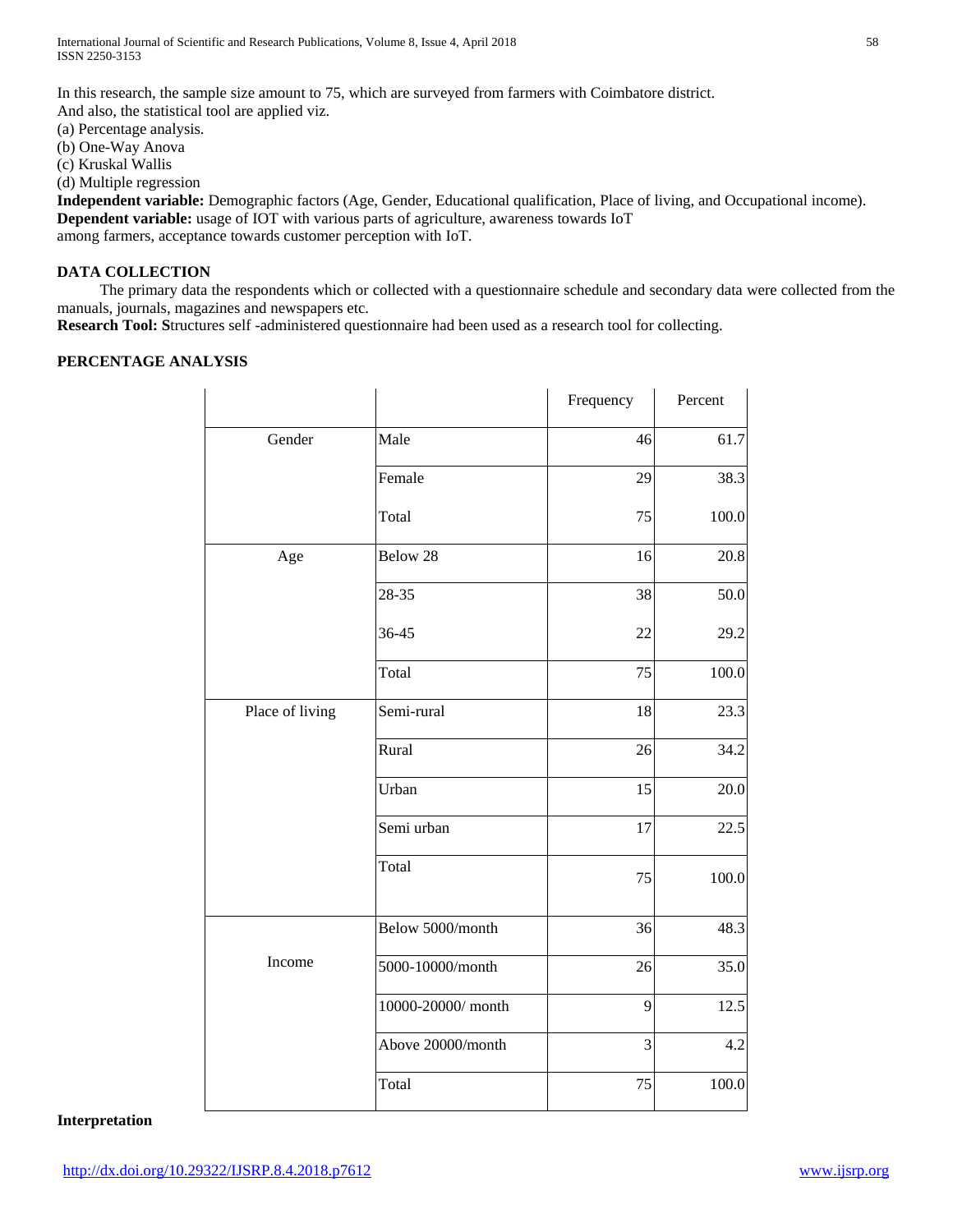In this research, the sample size amount to 75, which are surveyed from farmers with Coimbatore district. And also, the statistical tool are applied viz.

(a) Percentage analysis.

(b) One-Way Anova

(c) Kruskal Wallis

(d) Multiple regression

**Independent variable:** Demographic factors (Age, Gender, Educational qualification, Place of living, and Occupational income). **Dependent variable:** usage of IOT with various parts of agriculture, awareness towards IoT among farmers, acceptance towards customer perception with IoT.

# **DATA COLLECTION**

 The primary data the respondents which or collected with a questionnaire schedule and secondary data were collected from the manuals, journals, magazines and newspapers etc.

**Research Tool: S**tructures self -administered questionnaire had been used as a research tool for collecting.

# **PERCENTAGE ANALYSIS**

|                 |                   | Frequency | Percent |
|-----------------|-------------------|-----------|---------|
| Gender          | Male              | 46        | 61.7    |
|                 | Female            | 29        | 38.3    |
|                 | Total             | 75        | 100.0   |
| Age             | Below 28          | 16        | 20.8    |
|                 | 28-35             | 38        | 50.0    |
|                 | 36-45             | 22        | 29.2    |
|                 | Total             | 75        | 100.0   |
| Place of living | Semi-rural        | 18        | 23.3    |
|                 | Rural             | 26        | 34.2    |
|                 | Urban             | 15        | 20.0    |
|                 | Semi urban        | 17        | 22.5    |
|                 | Total             | 75        | 100.0   |
|                 | Below 5000/month  | 36        | 48.3    |
| Income          | 5000-10000/month  | 26        | 35.0    |
|                 | 10000-20000/month | 9         | 12.5    |
|                 | Above 20000/month | 3         | 4.2     |
|                 | Total             | 75        | 100.0   |

#### **Interpretation**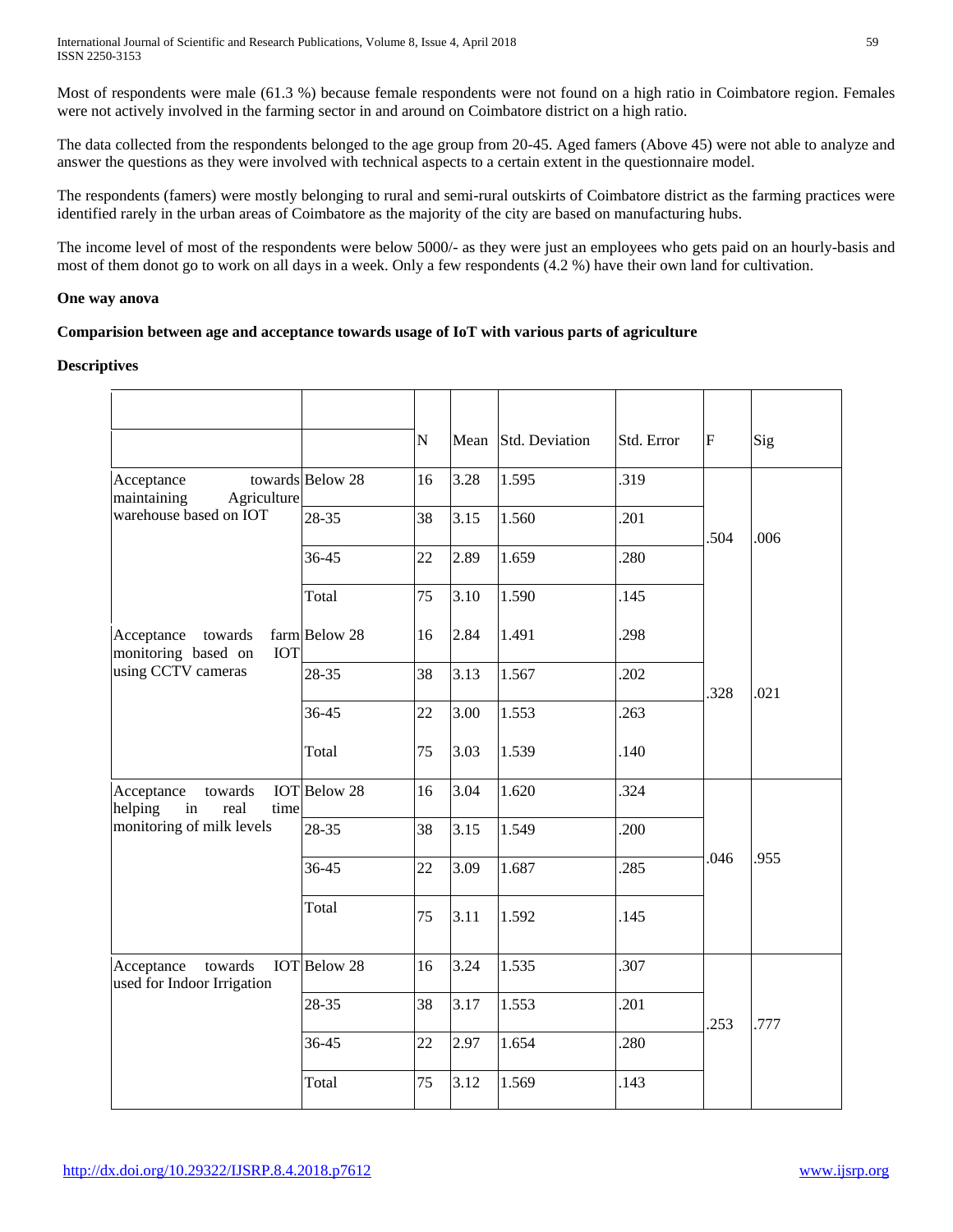International Journal of Scientific and Research Publications, Volume 8, Issue 4, April 2018 59 ISSN 2250-3153

Most of respondents were male (61.3 %) because female respondents were not found on a high ratio in Coimbatore region. Females were not actively involved in the farming sector in and around on Coimbatore district on a high ratio.

The data collected from the respondents belonged to the age group from 20-45. Aged famers (Above 45) were not able to analyze and answer the questions as they were involved with technical aspects to a certain extent in the questionnaire model.

The respondents (famers) were mostly belonging to rural and semi-rural outskirts of Coimbatore district as the farming practices were identified rarely in the urban areas of Coimbatore as the majority of the city are based on manufacturing hubs.

The income level of most of the respondents were below 5000/- as they were just an employees who gets paid on an hourly-basis and most of them donot go to work on all days in a week. Only a few respondents (4.2 %) have their own land for cultivation.

#### **One way anova**

# **Comparision between age and acceptance towards usage of IoT with various parts of agriculture**

#### **Descriptives**

| Acceptance                                                                          | towards Below 28    | N<br>16 | Mean<br>3.28 | Std. Deviation<br>1.595 | Std. Error<br>.319 | F    | Sig  |
|-------------------------------------------------------------------------------------|---------------------|---------|--------------|-------------------------|--------------------|------|------|
| maintaining<br>Agriculture<br>warehouse based on IOT                                | 28-35               | 38      | 3.15         | 1.560                   | .201               | .504 | .006 |
|                                                                                     | 36-45               | 22      | 2.89         | 1.659                   | 280                |      |      |
|                                                                                     | Total               | 75      | 3.10         | 1.590                   | .145               |      |      |
| towards<br>Acceptance<br>monitoring based on<br><b>IOT</b>                          | farm Below 28       | 16      | 2.84         | 1.491                   | .298               |      | .021 |
| using CCTV cameras                                                                  | 28-35               | 38      | 3.13         | 1.567                   | .202               | 328  |      |
|                                                                                     | 36-45               | 22      | 3.00         | 1.553                   | 263                |      |      |
|                                                                                     | Total               | 75      | 3.03         | 1.539                   | .140               |      |      |
| towards<br>Acceptance<br>in<br>helping<br>real<br>time<br>monitoring of milk levels | <b>IOT</b> Below 28 | 16      | 3.04         | 1.620                   | 324                | .046 | .955 |
|                                                                                     | 28-35               | 38      | 3.15         | 1.549                   | 200                |      |      |
|                                                                                     | 36-45               | 22      | 3.09         | 1.687                   | 285                |      |      |
|                                                                                     | Total               | 75      | 3.11         | 1.592                   | .145               |      |      |
| Acceptance<br>towards<br>used for Indoor Irrigation                                 | <b>IOT</b> Below 28 | 16      | 3.24         | 1.535                   | 307                | .253 | .777 |
|                                                                                     | 28-35               | 38      | 3.17         | 1.553                   | 201                |      |      |
|                                                                                     | 36-45               | 22      | 2.97         | 1.654                   | .280               |      |      |
|                                                                                     | Total               | 75      | 3.12         | 1.569                   | .143               |      |      |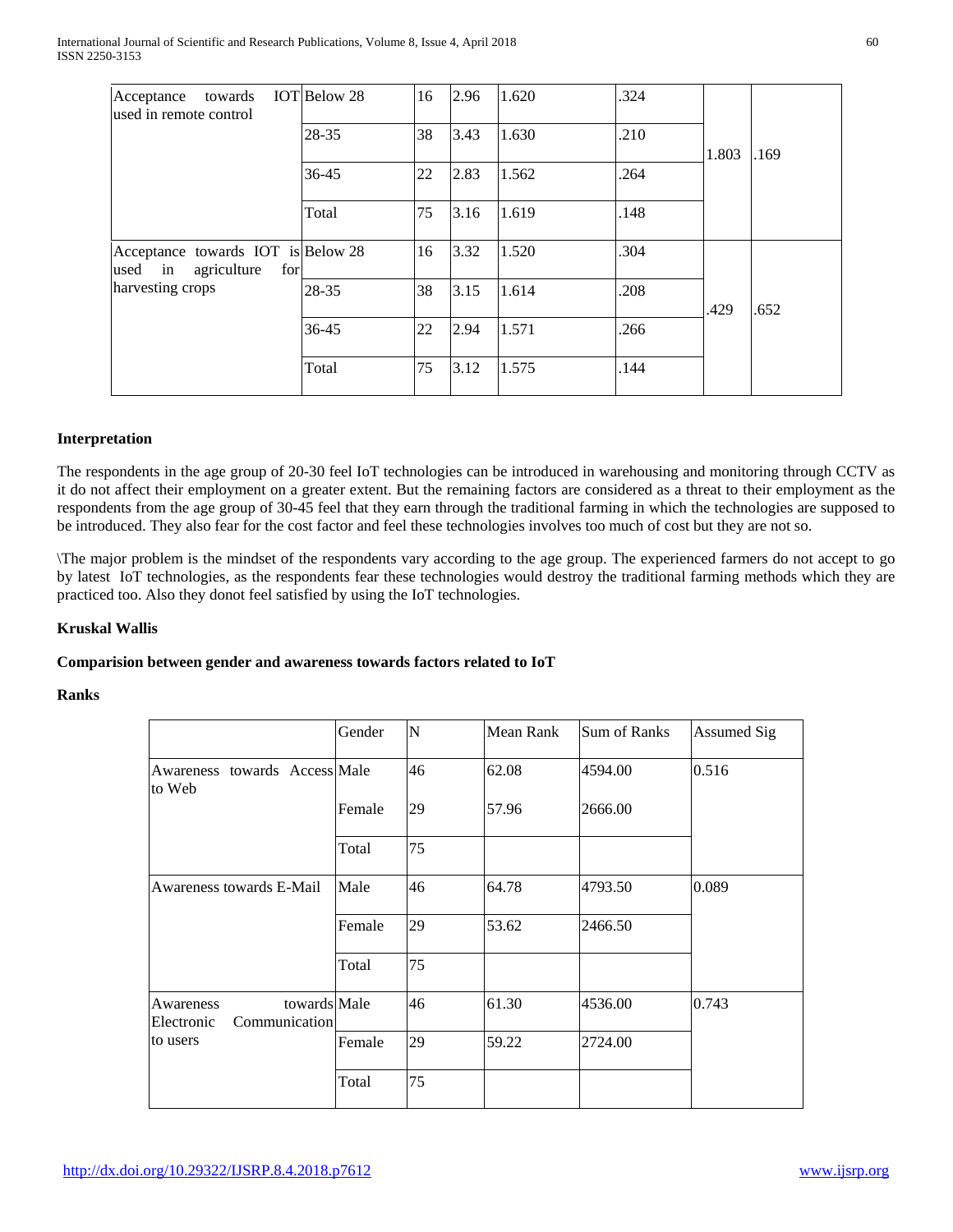| towards<br>Acceptance<br>used in remote control                                      | IOT Below 28 | 16 | 2.96 | 1.620 | .324 | 1.803 | .169 |
|--------------------------------------------------------------------------------------|--------------|----|------|-------|------|-------|------|
|                                                                                      | 28-35        | 38 | 3.43 | 1.630 | .210 |       |      |
|                                                                                      | 36-45        | 22 | 2.83 | 1.562 | .264 |       |      |
|                                                                                      | Total        | 75 | 3.16 | 1.619 | .148 |       |      |
| Acceptance towards IOT is Below 28<br>used in agriculture<br>for<br>harvesting crops |              | 16 | 3.32 | 1.520 | .304 | .429  | .652 |
|                                                                                      | 28-35        | 38 | 3.15 | 1.614 | .208 |       |      |
|                                                                                      | 36-45        | 22 | 2.94 | 1.571 | .266 |       |      |
|                                                                                      | Total        | 75 | 3.12 | 1.575 | .144 |       |      |

# **Interpretation**

The respondents in the age group of 20-30 feel IoT technologies can be introduced in warehousing and monitoring through CCTV as it do not affect their employment on a greater extent. But the remaining factors are considered as a threat to their employment as the respondents from the age group of 30-45 feel that they earn through the traditional farming in which the technologies are supposed to be introduced. They also fear for the cost factor and feel these technologies involves too much of cost but they are not so.

\The major problem is the mindset of the respondents vary according to the age group. The experienced farmers do not accept to go by latest IoT technologies, as the respondents fear these technologies would destroy the traditional farming methods which they are practiced too. Also they donot feel satisfied by using the IoT technologies.

# **Kruskal Wallis**

#### **Comparision between gender and awareness towards factors related to IoT**

**Ranks**

|                                                          | Gender | N  | Mean Rank | Sum of Ranks | Assumed Sig |
|----------------------------------------------------------|--------|----|-----------|--------------|-------------|
| Awareness towards Access Male<br>to Web                  |        | 46 | 62.08     | 4594.00      | 0.516       |
|                                                          | Female | 29 | 57.96     | 2666.00      |             |
|                                                          | Total  | 75 |           |              |             |
| Awareness towards E-Mail                                 | Male   | 46 | 64.78     | 4793.50      | 0.089       |
|                                                          | Female | 29 | 53.62     | 2466.50      |             |
|                                                          | Total  | 75 |           |              |             |
| towards Male<br>Awareness<br>Communication<br>Electronic |        | 46 | 61.30     | 4536.00      | 0.743       |
| to users                                                 | Female | 29 | 59.22     | 2724.00      |             |
|                                                          | Total  | 75 |           |              |             |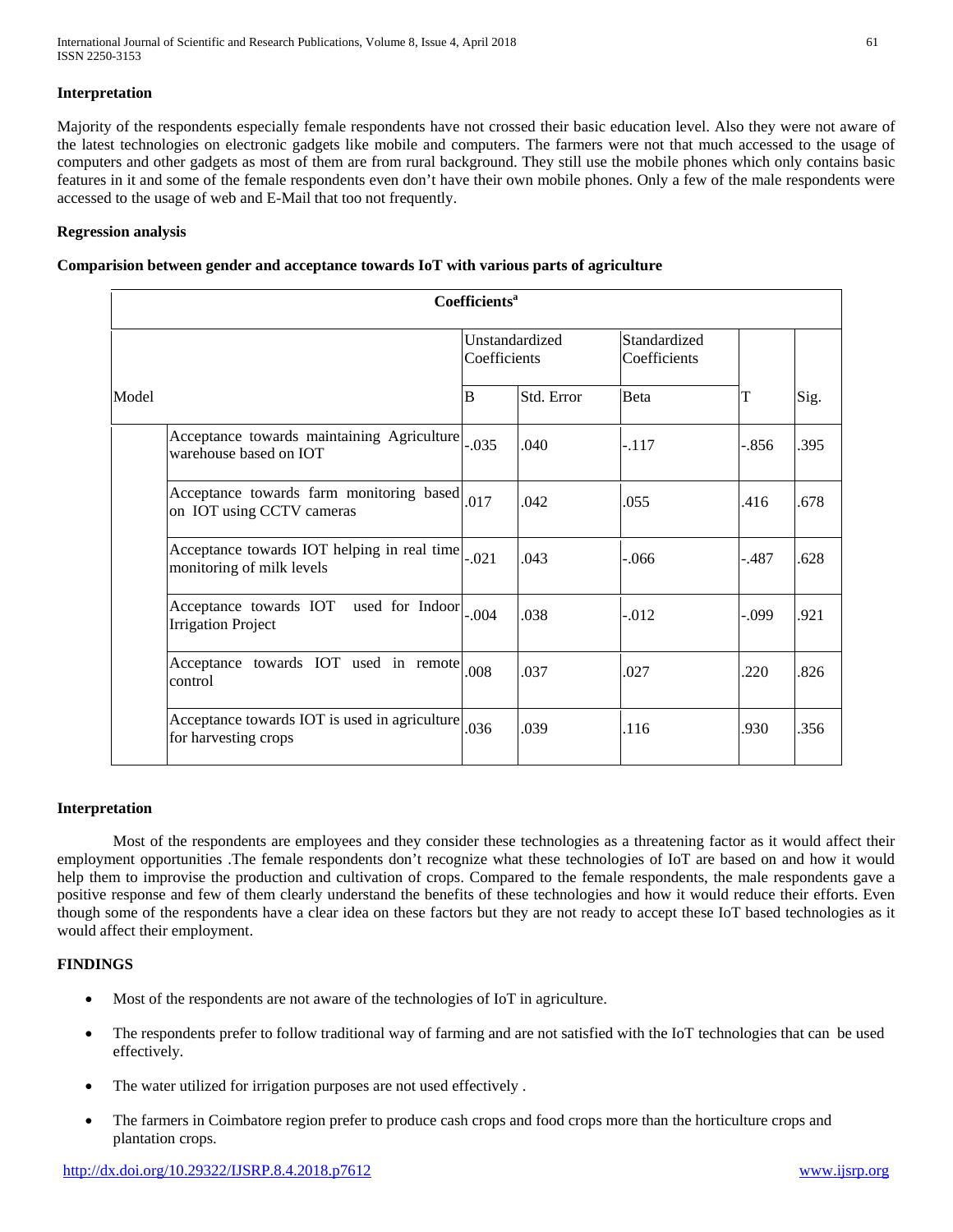# **Interpretation**

Majority of the respondents especially female respondents have not crossed their basic education level. Also they were not aware of the latest technologies on electronic gadgets like mobile and computers. The farmers were not that much accessed to the usage of computers and other gadgets as most of them are from rural background. They still use the mobile phones which only contains basic features in it and some of the female respondents even don't have their own mobile phones. Only a few of the male respondents were accessed to the usage of web and E-Mail that too not frequently.

# **Regression analysis**

# **Comparision between gender and acceptance towards IoT with various parts of agriculture**

|       | Coefficients <sup>a</sup>                                                 |                                |            |                              |         |      |  |  |
|-------|---------------------------------------------------------------------------|--------------------------------|------------|------------------------------|---------|------|--|--|
|       |                                                                           | Unstandardized<br>Coefficients |            | Standardized<br>Coefficients |         |      |  |  |
| Model | B                                                                         |                                | Std. Error | <b>B</b> eta                 | T       | Sig. |  |  |
|       | Acceptance towards maintaining Agriculture<br>warehouse based on IOT      | $-0.035$                       | .040       | $-.117$                      | -.856   | .395 |  |  |
|       | Acceptance towards farm monitoring based 017<br>on IOT using CCTV cameras |                                | .042       | .055                         | .416    | .678 |  |  |
|       | Acceptance towards IOT helping in real time<br>monitoring of milk levels  | $-.021$                        | .043       | $-.066$                      | $-.487$ | .628 |  |  |
|       | Acceptance towards IOT used for Indoor<br><b>Irrigation Project</b>       | $-0.04$                        | .038       | $-0.012$                     | -.099   | .921 |  |  |
|       | Acceptance towards IOT used in remote<br>control                          | .008                           | .037       | .027                         | .220    | .826 |  |  |
|       | Acceptance towards IOT is used in agriculture<br>for harvesting crops     | .036                           | .039       | .116                         | .930    | .356 |  |  |

#### **Interpretation**

Most of the respondents are employees and they consider these technologies as a threatening factor as it would affect their employment opportunities .The female respondents don't recognize what these technologies of IoT are based on and how it would help them to improvise the production and cultivation of crops. Compared to the female respondents, the male respondents gave a positive response and few of them clearly understand the benefits of these technologies and how it would reduce their efforts. Even though some of the respondents have a clear idea on these factors but they are not ready to accept these IoT based technologies as it would affect their employment.

#### **FINDINGS**

- Most of the respondents are not aware of the technologies of IoT in agriculture.
- The respondents prefer to follow traditional way of farming and are not satisfied with the IoT technologies that can be used effectively.
- The water utilized for irrigation purposes are not used effectively.
- The farmers in Coimbatore region prefer to produce cash crops and food crops more than the horticulture crops and plantation crops.